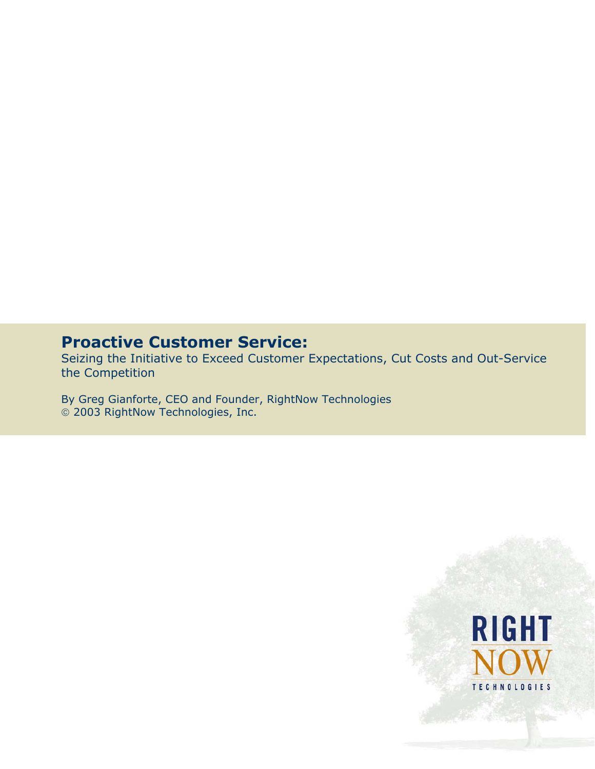# **Proactive Customer Service:**

Seizing the Initiative to Exceed Customer Expectations, Cut Costs and Out-Service the Competition

By Greg Gianforte, CEO and Founder, RightNow Technologies 2003 RightNow Technologies, Inc.

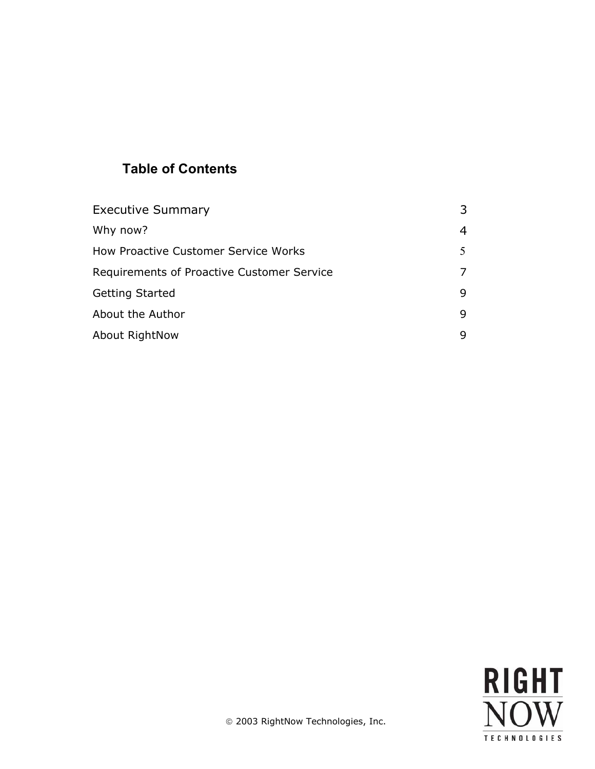## **Table of Contents**

| <b>Executive Summary</b>                   |   |
|--------------------------------------------|---|
| Why now?                                   |   |
| How Proactive Customer Service Works       |   |
| Requirements of Proactive Customer Service |   |
| <b>Getting Started</b>                     | q |
| About the Author                           | q |
| About RightNow                             |   |

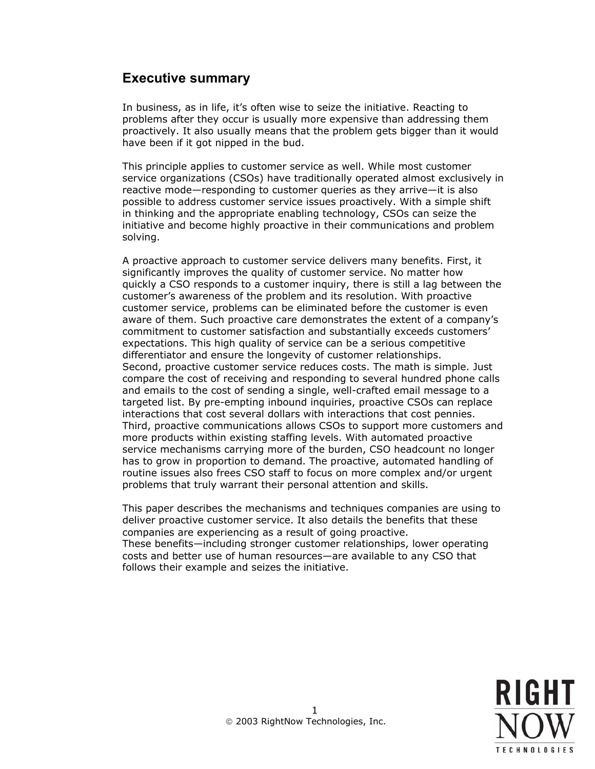## **Executive summary**

In business, as in life, it's often wise to seize the initiative. Reacting to problems after they occur is usually more expensive than addressing them proactively. It also usually means that the problem gets bigger than it would have been if it got nipped in the bud.

This principle applies to customer service as well. While most customer service organizations (CSOs) have traditionally operated almost exclusively in reactive mode—responding to customer queries as they arrive—it is also possible to address customer service issues proactively. With a simple shift in thinking and the appropriate enabling technology, CSOs can seize the initiative and become highly proactive in their communications and problem solving.

A proactive approach to customer service delivers many benefits. First, it significantly improves the quality of customer service. No matter how quickly a CSO responds to a customer inquiry, there is still a lag between the customer's awareness of the problem and its resolution. With proactive customer service, problems can be eliminated before the customer is even aware of them. Such proactive care demonstrates the extent of a company's commitment to customer satisfaction and substantially exceeds customers' expectations. This high quality of service can be a serious competitive differentiator and ensure the longevity of customer relationships. Second, proactive customer service reduces costs. The math is simple. Just compare the cost of receiving and responding to several hundred phone calls and emails to the cost of sending a single, well-crafted email message to a targeted list. By pre-empting inbound inquiries, proactive CSOs can replace interactions that cost several dollars with interactions that cost pennies. Third, proactive communications allows CSOs to support more customers and more products within existing staffing levels. With automated proactive service mechanisms carrying more of the burden, CSO headcount no longer has to grow in proportion to demand. The proactive, automated handling of routine issues also frees CSO staff to focus on more complex and/or urgent problems that truly warrant their personal attention and skills.

This paper describes the mechanisms and techniques companies are using to deliver proactive customer service. It also details the benefits that these companies are experiencing as a result of going proactive. These benefits—including stronger customer relationships, lower operating costs and better use of human resources—are available to any CSO that follows their example and seizes the initiative.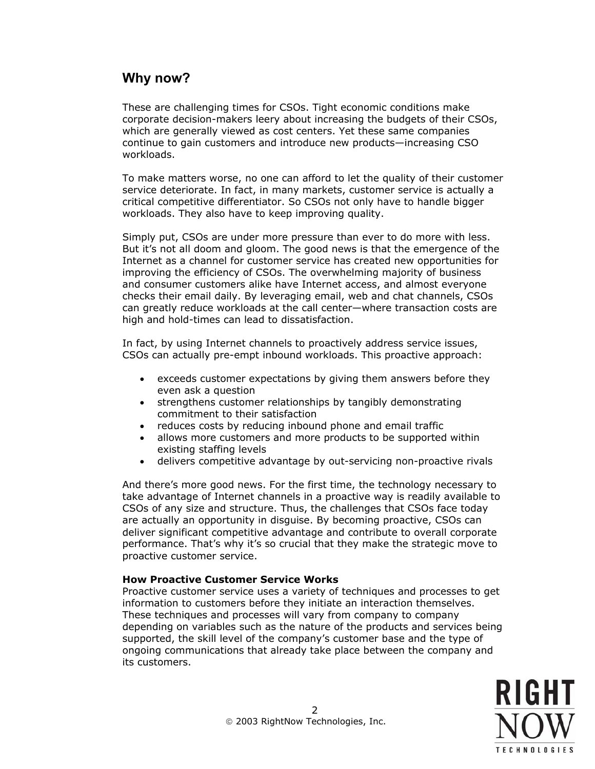## **Why now?**

These are challenging times for CSOs. Tight economic conditions make corporate decision-makers leery about increasing the budgets of their CSOs, which are generally viewed as cost centers. Yet these same companies continue to gain customers and introduce new products—increasing CSO workloads.

To make matters worse, no one can afford to let the quality of their customer service deteriorate. In fact, in many markets, customer service is actually a critical competitive differentiator. So CSOs not only have to handle bigger workloads. They also have to keep improving quality.

Simply put, CSOs are under more pressure than ever to do more with less. But it's not all doom and gloom. The good news is that the emergence of the Internet as a channel for customer service has created new opportunities for improving the efficiency of CSOs. The overwhelming majority of business and consumer customers alike have Internet access, and almost everyone checks their email daily. By leveraging email, web and chat channels, CSOs can greatly reduce workloads at the call center—where transaction costs are high and hold-times can lead to dissatisfaction.

In fact, by using Internet channels to proactively address service issues, CSOs can actually pre-empt inbound workloads. This proactive approach:

- exceeds customer expectations by giving them answers before they even ask a question
- strengthens customer relationships by tangibly demonstrating commitment to their satisfaction
- reduces costs by reducing inbound phone and email traffic
- allows more customers and more products to be supported within existing staffing levels
- delivers competitive advantage by out-servicing non-proactive rivals

And there's more good news. For the first time, the technology necessary to take advantage of Internet channels in a proactive way is readily available to CSOs of any size and structure. Thus, the challenges that CSOs face today are actually an opportunity in disguise. By becoming proactive, CSOs can deliver significant competitive advantage and contribute to overall corporate performance. That's why it's so crucial that they make the strategic move to proactive customer service.

## **How Proactive Customer Service Works**

Proactive customer service uses a variety of techniques and processes to get information to customers before they initiate an interaction themselves. These techniques and processes will vary from company to company depending on variables such as the nature of the products and services being supported, the skill level of the company's customer base and the type of ongoing communications that already take place between the company and its customers.

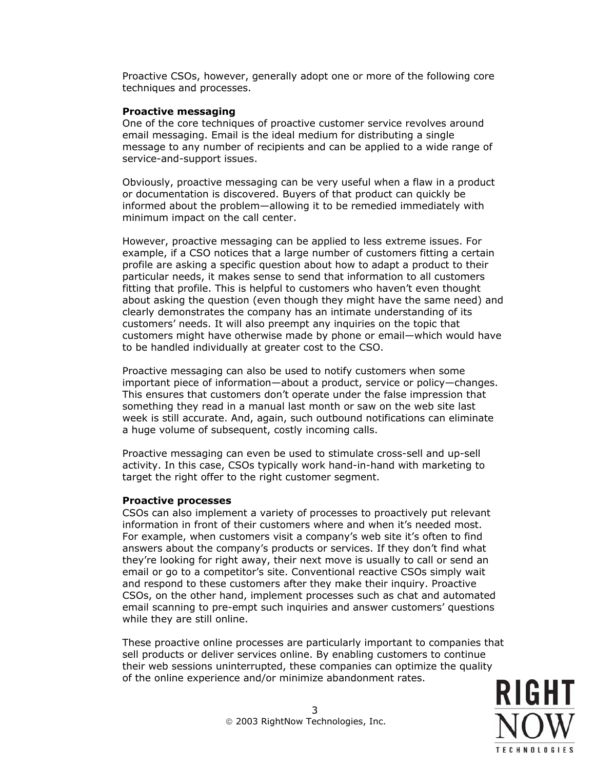Proactive CSOs, however, generally adopt one or more of the following core techniques and processes.

#### **Proactive messaging**

One of the core techniques of proactive customer service revolves around email messaging. Email is the ideal medium for distributing a single message to any number of recipients and can be applied to a wide range of service-and-support issues.

Obviously, proactive messaging can be very useful when a flaw in a product or documentation is discovered. Buyers of that product can quickly be informed about the problem—allowing it to be remedied immediately with minimum impact on the call center.

However, proactive messaging can be applied to less extreme issues. For example, if a CSO notices that a large number of customers fitting a certain profile are asking a specific question about how to adapt a product to their particular needs, it makes sense to send that information to all customers fitting that profile. This is helpful to customers who haven't even thought about asking the question (even though they might have the same need) and clearly demonstrates the company has an intimate understanding of its customers' needs. It will also preempt any inquiries on the topic that customers might have otherwise made by phone or email—which would have to be handled individually at greater cost to the CSO.

Proactive messaging can also be used to notify customers when some important piece of information—about a product, service or policy—changes. This ensures that customers don't operate under the false impression that something they read in a manual last month or saw on the web site last week is still accurate. And, again, such outbound notifications can eliminate a huge volume of subsequent, costly incoming calls.

Proactive messaging can even be used to stimulate cross-sell and up-sell activity. In this case, CSOs typically work hand-in-hand with marketing to target the right offer to the right customer segment.

#### **Proactive processes**

CSOs can also implement a variety of processes to proactively put relevant information in front of their customers where and when it's needed most. For example, when customers visit a company's web site it's often to find answers about the company's products or services. If they don't find what they're looking for right away, their next move is usually to call or send an email or go to a competitor's site. Conventional reactive CSOs simply wait and respond to these customers after they make their inquiry. Proactive CSOs, on the other hand, implement processes such as chat and automated email scanning to pre-empt such inquiries and answer customers' questions while they are still online.

These proactive online processes are particularly important to companies that sell products or deliver services online. By enabling customers to continue their web sessions uninterrupted, these companies can optimize the quality of the online experience and/or minimize abandonment rates.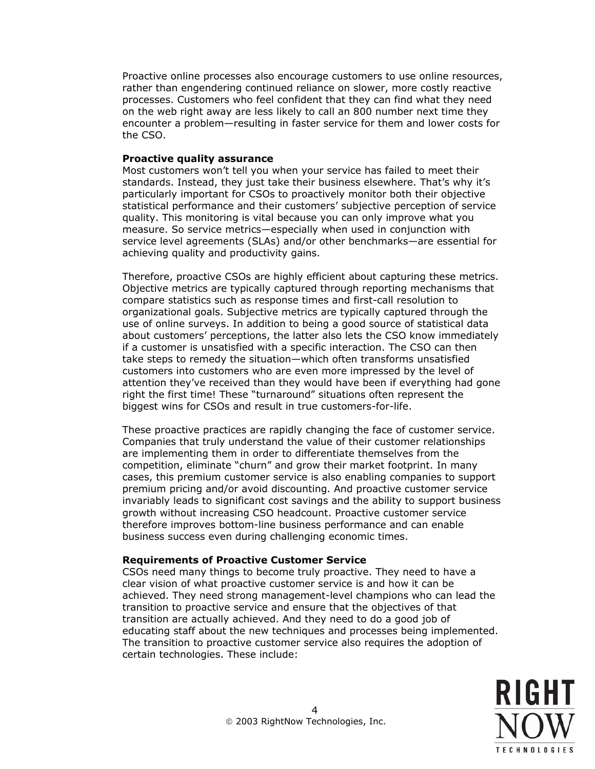Proactive online processes also encourage customers to use online resources, rather than engendering continued reliance on slower, more costly reactive processes. Customers who feel confident that they can find what they need on the web right away are less likely to call an 800 number next time they encounter a problem—resulting in faster service for them and lower costs for the CSO.

#### **Proactive quality assurance**

Most customers won't tell you when your service has failed to meet their standards. Instead, they just take their business elsewhere. That's why it's particularly important for CSOs to proactively monitor both their objective statistical performance and their customers' subjective perception of service quality. This monitoring is vital because you can only improve what you measure. So service metrics—especially when used in conjunction with service level agreements (SLAs) and/or other benchmarks—are essential for achieving quality and productivity gains.

Therefore, proactive CSOs are highly efficient about capturing these metrics. Objective metrics are typically captured through reporting mechanisms that compare statistics such as response times and first-call resolution to organizational goals. Subjective metrics are typically captured through the use of online surveys. In addition to being a good source of statistical data about customers' perceptions, the latter also lets the CSO know immediately if a customer is unsatisfied with a specific interaction. The CSO can then take steps to remedy the situation—which often transforms unsatisfied customers into customers who are even more impressed by the level of attention they've received than they would have been if everything had gone right the first time! These "turnaround" situations often represent the biggest wins for CSOs and result in true customers-for-life.

These proactive practices are rapidly changing the face of customer service. Companies that truly understand the value of their customer relationships are implementing them in order to differentiate themselves from the competition, eliminate "churn" and grow their market footprint. In many cases, this premium customer service is also enabling companies to support premium pricing and/or avoid discounting. And proactive customer service invariably leads to significant cost savings and the ability to support business growth without increasing CSO headcount. Proactive customer service therefore improves bottom-line business performance and can enable business success even during challenging economic times.

## **Requirements of Proactive Customer Service**

CSOs need many things to become truly proactive. They need to have a clear vision of what proactive customer service is and how it can be achieved. They need strong management-level champions who can lead the transition to proactive service and ensure that the objectives of that transition are actually achieved. And they need to do a good job of educating staff about the new techniques and processes being implemented. The transition to proactive customer service also requires the adoption of certain technologies. These include: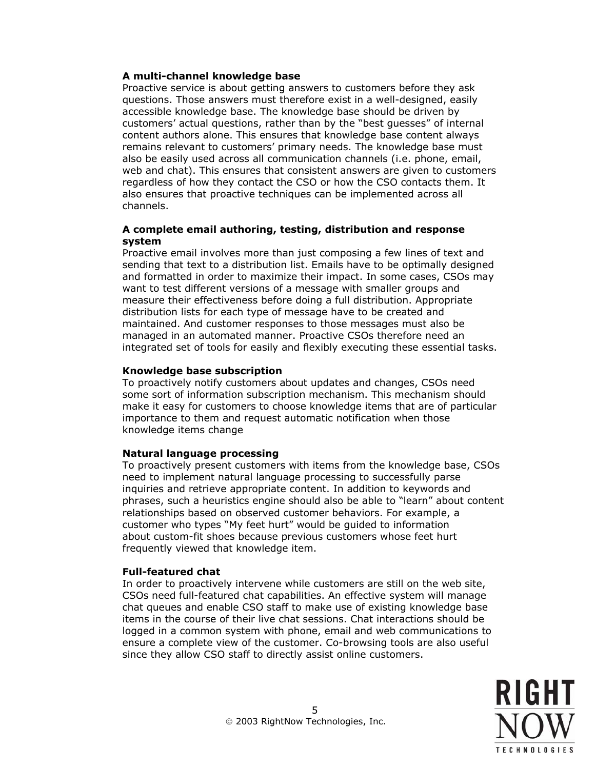### **A multi-channel knowledge base**

Proactive service is about getting answers to customers before they ask questions. Those answers must therefore exist in a well-designed, easily accessible knowledge base. The knowledge base should be driven by customers' actual questions, rather than by the "best guesses" of internal content authors alone. This ensures that knowledge base content always remains relevant to customers' primary needs. The knowledge base must also be easily used across all communication channels (i.e. phone, email, web and chat). This ensures that consistent answers are given to customers regardless of how they contact the CSO or how the CSO contacts them. It also ensures that proactive techniques can be implemented across all channels.

### **A complete email authoring, testing, distribution and response system**

Proactive email involves more than just composing a few lines of text and sending that text to a distribution list. Emails have to be optimally designed and formatted in order to maximize their impact. In some cases, CSOs may want to test different versions of a message with smaller groups and measure their effectiveness before doing a full distribution. Appropriate distribution lists for each type of message have to be created and maintained. And customer responses to those messages must also be managed in an automated manner. Proactive CSOs therefore need an integrated set of tools for easily and flexibly executing these essential tasks.

#### **Knowledge base subscription**

To proactively notify customers about updates and changes, CSOs need some sort of information subscription mechanism. This mechanism should make it easy for customers to choose knowledge items that are of particular importance to them and request automatic notification when those knowledge items change

## **Natural language processing**

To proactively present customers with items from the knowledge base, CSOs need to implement natural language processing to successfully parse inquiries and retrieve appropriate content. In addition to keywords and phrases, such a heuristics engine should also be able to "learn" about content relationships based on observed customer behaviors. For example, a customer who types "My feet hurt" would be guided to information about custom-fit shoes because previous customers whose feet hurt frequently viewed that knowledge item.

## **Full-featured chat**

In order to proactively intervene while customers are still on the web site, CSOs need full-featured chat capabilities. An effective system will manage chat queues and enable CSO staff to make use of existing knowledge base items in the course of their live chat sessions. Chat interactions should be logged in a common system with phone, email and web communications to ensure a complete view of the customer. Co-browsing tools are also useful since they allow CSO staff to directly assist online customers.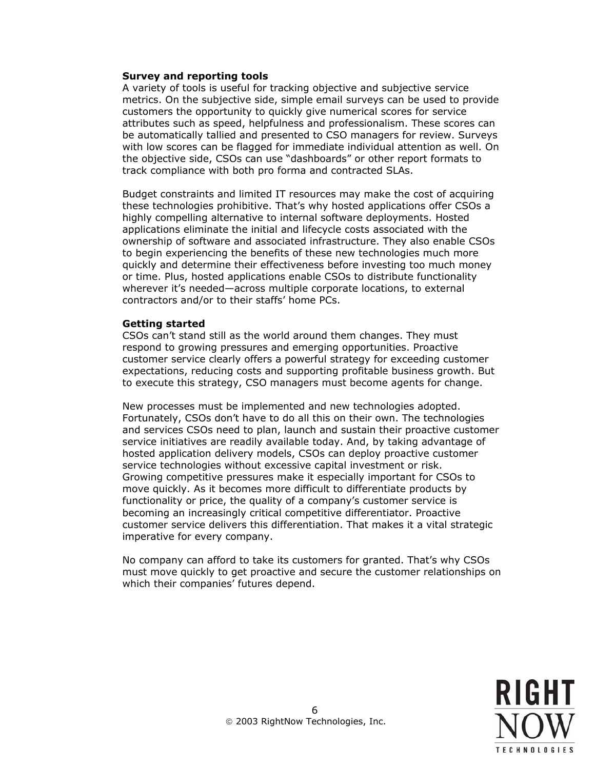#### **Survey and reporting tools**

A variety of tools is useful for tracking objective and subjective service metrics. On the subjective side, simple email surveys can be used to provide customers the opportunity to quickly give numerical scores for service attributes such as speed, helpfulness and professionalism. These scores can be automatically tallied and presented to CSO managers for review. Surveys with low scores can be flagged for immediate individual attention as well. On the objective side, CSOs can use "dashboards" or other report formats to track compliance with both pro forma and contracted SLAs.

Budget constraints and limited IT resources may make the cost of acquiring these technologies prohibitive. That's why hosted applications offer CSOs a highly compelling alternative to internal software deployments. Hosted applications eliminate the initial and lifecycle costs associated with the ownership of software and associated infrastructure. They also enable CSOs to begin experiencing the benefits of these new technologies much more quickly and determine their effectiveness before investing too much money or time. Plus, hosted applications enable CSOs to distribute functionality wherever it's needed—across multiple corporate locations, to external contractors and/or to their staffs' home PCs.

#### **Getting started**

CSOs can't stand still as the world around them changes. They must respond to growing pressures and emerging opportunities. Proactive customer service clearly offers a powerful strategy for exceeding customer expectations, reducing costs and supporting profitable business growth. But to execute this strategy, CSO managers must become agents for change.

New processes must be implemented and new technologies adopted. Fortunately, CSOs don't have to do all this on their own. The technologies and services CSOs need to plan, launch and sustain their proactive customer service initiatives are readily available today. And, by taking advantage of hosted application delivery models, CSOs can deploy proactive customer service technologies without excessive capital investment or risk. Growing competitive pressures make it especially important for CSOs to move quickly. As it becomes more difficult to differentiate products by functionality or price, the quality of a company's customer service is becoming an increasingly critical competitive differentiator. Proactive customer service delivers this differentiation. That makes it a vital strategic imperative for every company.

No company can afford to take its customers for granted. That's why CSOs must move quickly to get proactive and secure the customer relationships on which their companies' futures depend.